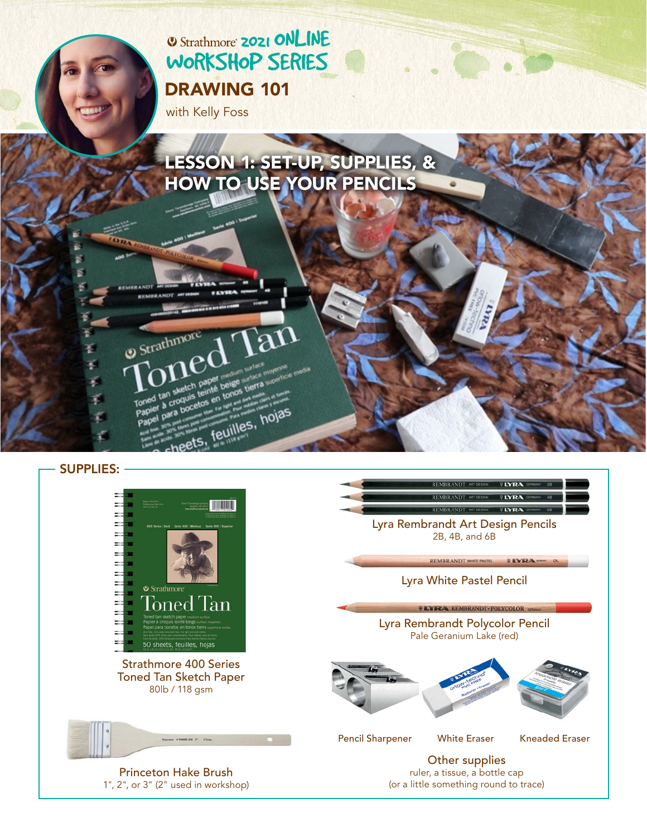# **2021 ONLINE** [WORKSHOP SERIES](https://www.strathmoreartiststudio.com/) [DRAWING 101](https://www.strathmoreartiststudio.com/groups/workshop-3-2021/forum/)

per beige<br>nté beige tierra

neets, feuilles, hojas

with Kelly Foss

Strathmore

Toned tan

tan Soquis

croquisetos

## [LESSON 1: SET-UP, SUPPLIES, &](https://www.strathmoreartiststudio.com/groups/workshop-3-2021/forum/)  HOW TO USE YOUR PENCILS

SUPPLIES:

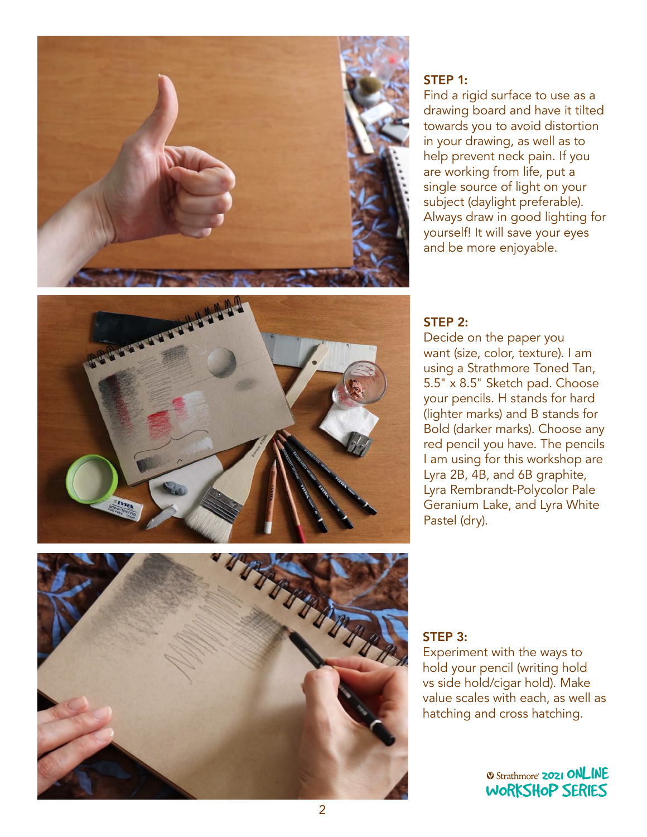

#### STEP 1:

Find a rigid surface to use as a drawing board and have it tilted towards you to avoid distortion in your drawing, as well as to help prevent neck pain. If you are working from life, put a single source of light on your subject (daylight preferable). Always draw in good lighting for yourself! It will save your eyes and be more enjoyable.



#### STEP 2:

Decide on the paper you want (size, color, texture). I am using a Strathmore Toned Tan, 5.5" x 8.5" Sketch pad. Choose your pencils. H stands for hard (lighter marks) and B stands for Bold (darker marks). Choose any red pencil you have. The pencils I am using for this workshop are Lyra 2B, 4B, and 6B graphite, Lyra Rembrandt-Polycolor Pale Geranium Lake, and Lyra White Pastel (dry).



#### STEP 3:

Experiment with the ways to hold your pencil (writing hold vs side hold/cigar hold). Make value scales with each, as well as value scales with each, as well as<br>hatching and cross hatching. id cross hatching.<br>.

> **2021 ONLINE** [WORKSHOP SERIES](https://www.strathmoreartiststudio.com/)